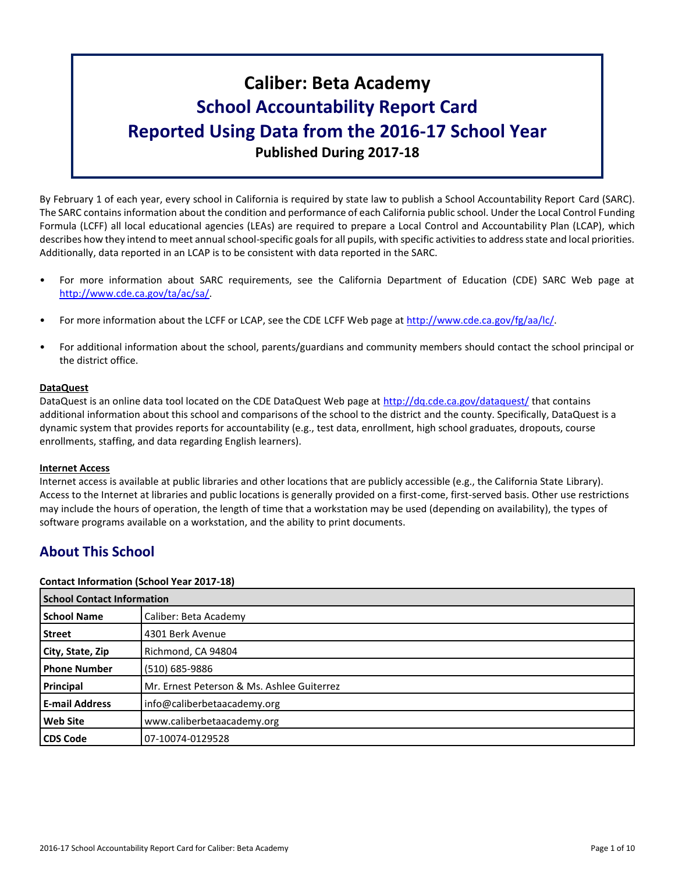# **Caliber: Beta Academy School Accountability Report Card Reported Using Data from the 2016-17 School Year Published During 2017-18**

By February 1 of each year, every school in California is required by state law to publish a School Accountability Report Card (SARC). The SARC contains information about the condition and performance of each California public school. Under the Local Control Funding Formula (LCFF) all local educational agencies (LEAs) are required to prepare a Local Control and Accountability Plan (LCAP), which describes how they intend to meet annual school-specific goals for all pupils, with specific activities to address state and local priorities. Additionally, data reported in an LCAP is to be consistent with data reported in the SARC.

- For more information about SARC requirements, see the California Department of Education (CDE) SARC Web page at [http://www.cde.ca.gov/ta/ac/sa/.](http://www.cde.ca.gov/ta/ac/sa/)
- For more information about the LCFF or LCAP, see the CDE LCFF Web page at [http://www.cde.ca.gov/fg/aa/lc/.](http://www.cde.ca.gov/fg/aa/lc/)
- For additional information about the school, parents/guardians and community members should contact the school principal or the district office.

#### **DataQuest**

DataQuest is an online data tool located on the CDE DataQuest Web page at<http://dq.cde.ca.gov/dataquest/> that contains additional information about this school and comparisons of the school to the district and the county. Specifically, DataQuest is a dynamic system that provides reports for accountability (e.g., test data, enrollment, high school graduates, dropouts, course enrollments, staffing, and data regarding English learners).

#### **Internet Access**

Internet access is available at public libraries and other locations that are publicly accessible (e.g., the California State Library). Access to the Internet at libraries and public locations is generally provided on a first-come, first-served basis. Other use restrictions may include the hours of operation, the length of time that a workstation may be used (depending on availability), the types of software programs available on a workstation, and the ability to print documents.

## **About This School**

#### **Contact Information (School Year 2017-18)**

| <b>School Contact Information</b> |                                            |  |  |
|-----------------------------------|--------------------------------------------|--|--|
| <b>School Name</b>                | Caliber: Beta Academy                      |  |  |
| <b>Street</b>                     | 4301 Berk Avenue                           |  |  |
| City, State, Zip                  | Richmond, CA 94804                         |  |  |
| <b>Phone Number</b>               | (510) 685-9886                             |  |  |
| Principal                         | Mr. Ernest Peterson & Ms. Ashlee Guiterrez |  |  |
| <b>E-mail Address</b>             | info@caliberbetaacademy.org                |  |  |
| <b>Web Site</b>                   | www.caliberbetaacademy.org                 |  |  |
| <b>CDS Code</b>                   | 107-10074-0129528                          |  |  |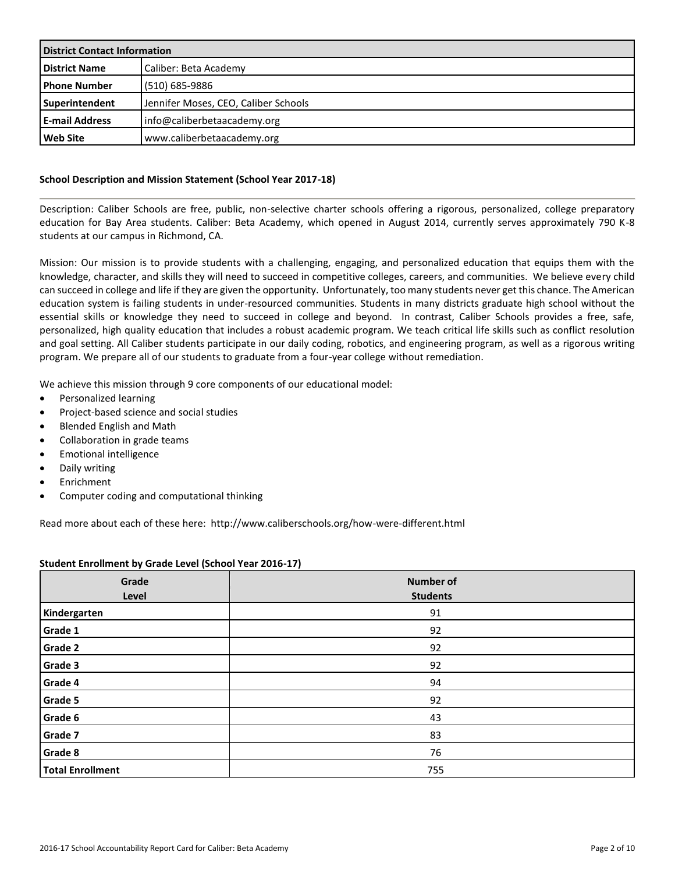| <b>District Contact Information</b> |                                      |  |  |
|-------------------------------------|--------------------------------------|--|--|
| <b>District Name</b>                | Caliber: Beta Academy                |  |  |
| <b>I</b> Phone Number               | (510) 685-9886                       |  |  |
| Superintendent                      | Jennifer Moses, CEO, Caliber Schools |  |  |
| <b>E-mail Address</b>               | info@caliberbetaacademy.org          |  |  |
| Web Site                            | www.caliberbetaacademy.org           |  |  |

#### **School Description and Mission Statement (School Year 2017-18)**

Description: Caliber Schools are free, public, non-selective charter schools offering a rigorous, personalized, college preparatory education for Bay Area students. Caliber: Beta Academy, which opened in August 2014, currently serves approximately 790 K-8 students at our campus in Richmond, CA.

Mission: Our mission is to provide students with a challenging, engaging, and personalized education that equips them with the knowledge, character, and skills they will need to succeed in competitive colleges, careers, and communities. We believe every child can succeed in college and life if they are given the opportunity. Unfortunately, too many students never get this chance. The American education system is failing students in under-resourced communities. Students in many districts graduate high school without the essential skills or knowledge they need to succeed in college and beyond. In contrast, Caliber Schools provides a free, safe, personalized, high quality education that includes a robust academic program. We teach critical life skills such as conflict resolution and goal setting. All Caliber students participate in our daily coding, robotics, and engineering program, as well as a rigorous writing program. We prepare all of our students to graduate from a four-year college without remediation.

We achieve this mission through 9 core components of our educational model:

- Personalized learning
- Project-based science and social studies
- Blended English and Math
- Collaboration in grade teams
- Emotional intelligence
- Daily writing
- **Enrichment**
- Computer coding and computational thinking

Read more about each of these here: http://www.caliberschools.org/how-were-different.html

| Student Enrollment by Grade Level (School Year 2016-17) |  |  |  |
|---------------------------------------------------------|--|--|--|
|---------------------------------------------------------|--|--|--|

| Grade<br>Level          | <b>Number of</b><br><b>Students</b> |
|-------------------------|-------------------------------------|
| Kindergarten            | 91                                  |
| Grade 1                 | 92                                  |
| Grade 2                 | 92                                  |
| Grade 3                 | 92                                  |
| Grade 4                 | 94                                  |
| Grade 5                 | 92                                  |
| <b>Grade 6</b>          | 43                                  |
| Grade 7                 | 83                                  |
| Grade 8                 | 76                                  |
| <b>Total Enrollment</b> | 755                                 |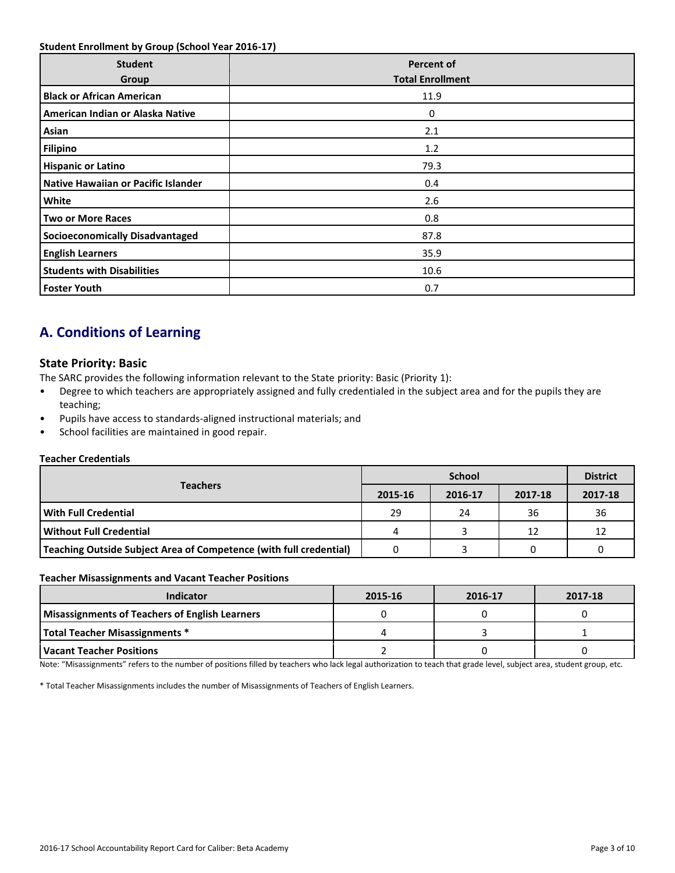#### **Student Enrollment by Group (School Year 2016-17)**

| <b>Student</b><br>Group                | <b>Percent of</b><br><b>Total Enrollment</b> |
|----------------------------------------|----------------------------------------------|
| <b>Black or African American</b>       | 11.9                                         |
| American Indian or Alaska Native       | 0                                            |
| Asian                                  | 2.1                                          |
| <b>Filipino</b>                        | 1.2                                          |
| <b>Hispanic or Latino</b>              | 79.3                                         |
| Native Hawaiian or Pacific Islander    | 0.4                                          |
| White                                  | 2.6                                          |
| <b>Two or More Races</b>               | 0.8                                          |
| <b>Socioeconomically Disadvantaged</b> | 87.8                                         |
| <b>English Learners</b>                | 35.9                                         |
| <b>Students with Disabilities</b>      | 10.6                                         |
| <b>Foster Youth</b>                    | 0.7                                          |

# **A. Conditions of Learning**

### **State Priority: Basic**

The SARC provides the following information relevant to the State priority: Basic (Priority 1):

- Degree to which teachers are appropriately assigned and fully credentialed in the subject area and for the pupils they are teaching;
- Pupils have access to standards-aligned instructional materials; and
- School facilities are maintained in good repair.

#### **Teacher Credentials**

|                                                                    |         | <b>District</b> |         |         |
|--------------------------------------------------------------------|---------|-----------------|---------|---------|
| <b>Teachers</b>                                                    | 2015-16 | 2016-17         | 2017-18 | 2017-18 |
| With Full Credential                                               | 29      | 24              | 36      | 36      |
| Without Full Credential                                            | 4       |                 | 12      | 12      |
| Teaching Outside Subject Area of Competence (with full credential) |         |                 |         |         |

#### **Teacher Misassignments and Vacant Teacher Positions**

| <b>Indicator</b>                                      | 2015-16 | 2016-17 | 2017-18 |
|-------------------------------------------------------|---------|---------|---------|
| <b>Misassignments of Teachers of English Learners</b> |         |         |         |
| <b>Total Teacher Misassignments *</b>                 |         |         |         |
| Vacant Teacher Positions                              |         |         |         |

Note: "Misassignments" refers to the number of positions filled by teachers who lack legal authorization to teach that grade level, subject area, student group, etc.

\* Total Teacher Misassignments includes the number of Misassignments of Teachers of English Learners.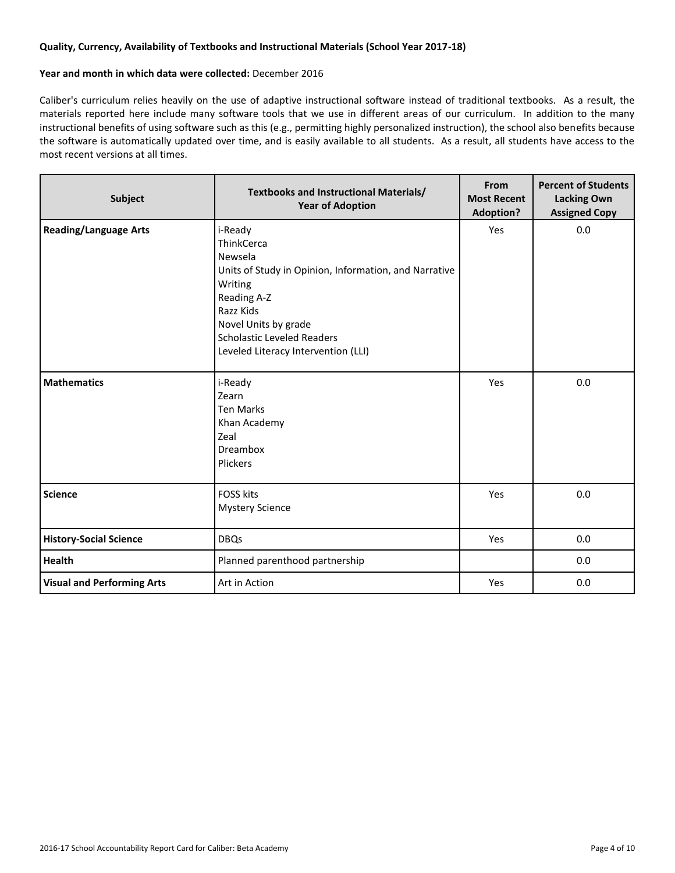#### **Quality, Currency, Availability of Textbooks and Instructional Materials (School Year 2017-18)**

#### **Year and month in which data were collected:** December 2016

Caliber's curriculum relies heavily on the use of adaptive instructional software instead of traditional textbooks. As a result, the materials reported here include many software tools that we use in different areas of our curriculum. In addition to the many instructional benefits of using software such as this (e.g., permitting highly personalized instruction), the school also benefits because the software is automatically updated over time, and is easily available to all students. As a result, all students have access to the most recent versions at all times.

| Subject                           | <b>Textbooks and Instructional Materials/</b><br><b>Year of Adoption</b>                                                                                                                                                             | From<br><b>Most Recent</b><br><b>Adoption?</b> | <b>Percent of Students</b><br><b>Lacking Own</b><br><b>Assigned Copy</b> |
|-----------------------------------|--------------------------------------------------------------------------------------------------------------------------------------------------------------------------------------------------------------------------------------|------------------------------------------------|--------------------------------------------------------------------------|
| <b>Reading/Language Arts</b>      | i-Ready<br>ThinkCerca<br>Newsela<br>Units of Study in Opinion, Information, and Narrative<br>Writing<br>Reading A-Z<br>Razz Kids<br>Novel Units by grade<br><b>Scholastic Leveled Readers</b><br>Leveled Literacy Intervention (LLI) | Yes                                            | 0.0                                                                      |
| <b>Mathematics</b>                | i-Ready<br>Zearn<br><b>Ten Marks</b><br>Khan Academy<br>Zeal<br>Dreambox<br>Plickers                                                                                                                                                 | Yes                                            | 0.0                                                                      |
| <b>Science</b>                    | <b>FOSS kits</b><br><b>Mystery Science</b>                                                                                                                                                                                           | Yes                                            | 0.0                                                                      |
| <b>History-Social Science</b>     | <b>DBQs</b>                                                                                                                                                                                                                          | Yes                                            | 0.0                                                                      |
| Health                            | Planned parenthood partnership                                                                                                                                                                                                       |                                                | 0.0                                                                      |
| <b>Visual and Performing Arts</b> | Art in Action                                                                                                                                                                                                                        | Yes                                            | 0.0                                                                      |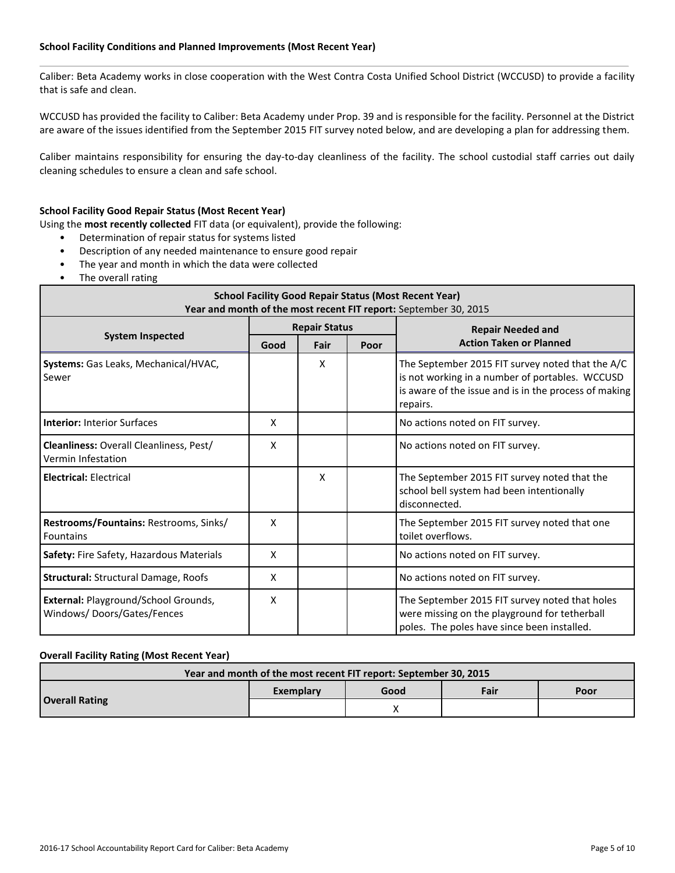#### **School Facility Conditions and Planned Improvements (Most Recent Year)**

Caliber: Beta Academy works in close cooperation with the West Contra Costa Unified School District (WCCUSD) to provide a facility that is safe and clean.

WCCUSD has provided the facility to Caliber: Beta Academy under Prop. 39 and is responsible for the facility. Personnel at the District are aware of the issues identified from the September 2015 FIT survey noted below, and are developing a plan for addressing them.

Caliber maintains responsibility for ensuring the day-to-day cleanliness of the facility. The school custodial staff carries out daily cleaning schedules to ensure a clean and safe school.

#### **School Facility Good Repair Status (Most Recent Year)**

Using the **most recently collected** FIT data (or equivalent), provide the following:

- Determination of repair status for systems listed
- Description of any needed maintenance to ensure good repair
- The year and month in which the data were collected
- The overall rating

| <b>School Facility Good Repair Status (Most Recent Year)</b><br>Year and month of the most recent FIT report: September 30, 2015 |                      |                      |  |                                                                                                                                                                          |  |  |
|----------------------------------------------------------------------------------------------------------------------------------|----------------------|----------------------|--|--------------------------------------------------------------------------------------------------------------------------------------------------------------------------|--|--|
|                                                                                                                                  |                      | <b>Repair Status</b> |  | <b>Repair Needed and</b>                                                                                                                                                 |  |  |
| <b>System Inspected</b>                                                                                                          | Fair<br>Poor<br>Good |                      |  | <b>Action Taken or Planned</b>                                                                                                                                           |  |  |
| Systems: Gas Leaks, Mechanical/HVAC,<br>Sewer                                                                                    |                      | X                    |  | The September 2015 FIT survey noted that the A/C<br>is not working in a number of portables. WCCUSD<br>is aware of the issue and is in the process of making<br>repairs. |  |  |
| <b>Interior: Interior Surfaces</b>                                                                                               | X                    |                      |  | No actions noted on FIT survey.                                                                                                                                          |  |  |
| <b>Cleanliness: Overall Cleanliness, Pest/</b><br>Vermin Infestation                                                             | X                    |                      |  | No actions noted on FIT survey.                                                                                                                                          |  |  |
| <b>Electrical: Electrical</b>                                                                                                    |                      | X                    |  | The September 2015 FIT survey noted that the<br>school bell system had been intentionally<br>disconnected.                                                               |  |  |
| Restrooms/Fountains: Restrooms, Sinks/<br><b>Fountains</b>                                                                       | X                    |                      |  | The September 2015 FIT survey noted that one<br>toilet overflows.                                                                                                        |  |  |
| Safety: Fire Safety, Hazardous Materials                                                                                         | X                    |                      |  | No actions noted on FIT survey.                                                                                                                                          |  |  |
| <b>Structural: Structural Damage, Roofs</b>                                                                                      | X                    |                      |  | No actions noted on FIT survey.                                                                                                                                          |  |  |
| External: Playground/School Grounds,<br>Windows/Doors/Gates/Fences                                                               | X                    |                      |  | The September 2015 FIT survey noted that holes<br>were missing on the playground for tetherball<br>poles. The poles have since been installed.                           |  |  |

#### **Overall Facility Rating (Most Recent Year)**

| Year and month of the most recent FIT report: September 30, 2015 |           |      |  |      |  |  |  |
|------------------------------------------------------------------|-----------|------|--|------|--|--|--|
|                                                                  | Exemplary | Good |  | Poor |  |  |  |
| <b>Overall Rating</b>                                            |           |      |  |      |  |  |  |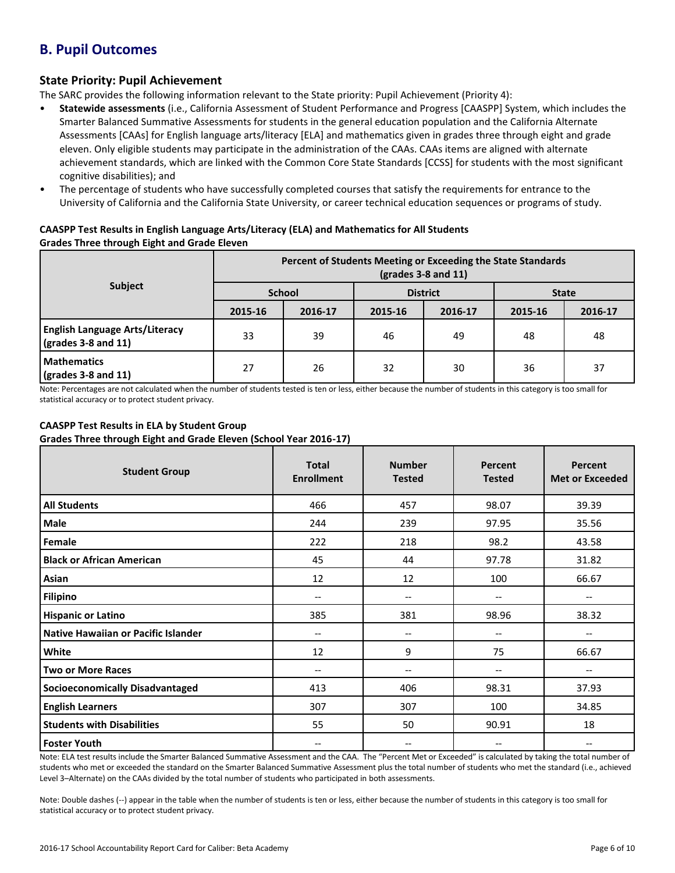# **B. Pupil Outcomes**

### **State Priority: Pupil Achievement**

The SARC provides the following information relevant to the State priority: Pupil Achievement (Priority 4):

- **Statewide assessments** (i.e., California Assessment of Student Performance and Progress [CAASPP] System, which includes the Smarter Balanced Summative Assessments for students in the general education population and the California Alternate Assessments [CAAs] for English language arts/literacy [ELA] and mathematics given in grades three through eight and grade eleven. Only eligible students may participate in the administration of the CAAs. CAAs items are aligned with alternate achievement standards, which are linked with the Common Core State Standards [CCSS] for students with the most significant cognitive disabilities); and
- The percentage of students who have successfully completed courses that satisfy the requirements for entrance to the University of California and the California State University, or career technical education sequences or programs of study.

#### **CAASPP Test Results in English Language Arts/Literacy (ELA) and Mathematics for All Students Grades Three through Eight and Grade Eleven**

|                                                                      | Percent of Students Meeting or Exceeding the State Standards<br>$\left(\text{grades }3 - 8 \text{ and } 11\right)$ |         |                 |         |              |         |  |
|----------------------------------------------------------------------|--------------------------------------------------------------------------------------------------------------------|---------|-----------------|---------|--------------|---------|--|
| <b>Subject</b>                                                       | <b>School</b>                                                                                                      |         | <b>District</b> |         | <b>State</b> |         |  |
|                                                                      | 2015-16                                                                                                            | 2016-17 | 2015-16         | 2016-17 | 2015-16      | 2016-17 |  |
| <b>English Language Arts/Literacy</b><br>$\sqrt{grades}$ 3-8 and 11) | 33                                                                                                                 | 39      | 46              | 49      | 48           | 48      |  |
| <b>Mathematics</b><br>$\sqrt{(grades 3-8 and 11)}$                   | 27                                                                                                                 | 26      | 32              | 30      | 36           | 37      |  |

Note: Percentages are not calculated when the number of students tested is ten or less, either because the number of students in this category is too small for statistical accuracy or to protect student privacy.

### **CAASPP Test Results in ELA by Student Group**

**Grades Three through Eight and Grade Eleven (School Year 2016-17)**

| <b>Student Group</b>                   | <b>Total</b><br><b>Enrollment</b> | <b>Number</b><br><b>Tested</b>        | Percent<br><b>Tested</b> | Percent<br><b>Met or Exceeded</b> |
|----------------------------------------|-----------------------------------|---------------------------------------|--------------------------|-----------------------------------|
| <b>All Students</b>                    | 466                               | 457                                   | 98.07                    | 39.39                             |
| Male                                   | 244                               | 239                                   | 97.95                    | 35.56                             |
| Female                                 | 222                               | 218                                   | 98.2                     | 43.58                             |
| <b>Black or African American</b>       | 45                                | 44                                    | 97.78                    | 31.82                             |
| Asian                                  | 12                                | 12                                    | 100                      | 66.67                             |
| <b>Filipino</b>                        | --                                | $\hspace{0.05cm}$ – $\hspace{0.05cm}$ | --                       | $-$                               |
| <b>Hispanic or Latino</b>              | 385                               | 381                                   | 98.96                    | 38.32                             |
| Native Hawaiian or Pacific Islander    | --                                | --                                    | --                       | --                                |
| White                                  | 12                                | 9                                     | 75                       | 66.67                             |
| <b>Two or More Races</b>               | --                                | $\hspace{0.05cm}$ – $\hspace{0.05cm}$ | --                       | --                                |
| <b>Socioeconomically Disadvantaged</b> | 413                               | 406                                   | 98.31                    | 37.93                             |
| <b>English Learners</b>                | 307                               | 307                                   | 100                      | 34.85                             |
| <b>Students with Disabilities</b>      | 55                                | 50                                    | 90.91                    | 18                                |
| <b>Foster Youth</b>                    | --                                | --                                    | --                       | $- -$                             |

Note: ELA test results include the Smarter Balanced Summative Assessment and the CAA. The "Percent Met or Exceeded" is calculated by taking the total number of students who met or exceeded the standard on the Smarter Balanced Summative Assessment plus the total number of students who met the standard (i.e., achieved Level 3–Alternate) on the CAAs divided by the total number of students who participated in both assessments.

Note: Double dashes (--) appear in the table when the number of students is ten or less, either because the number of students in this category is too small for statistical accuracy or to protect student privacy.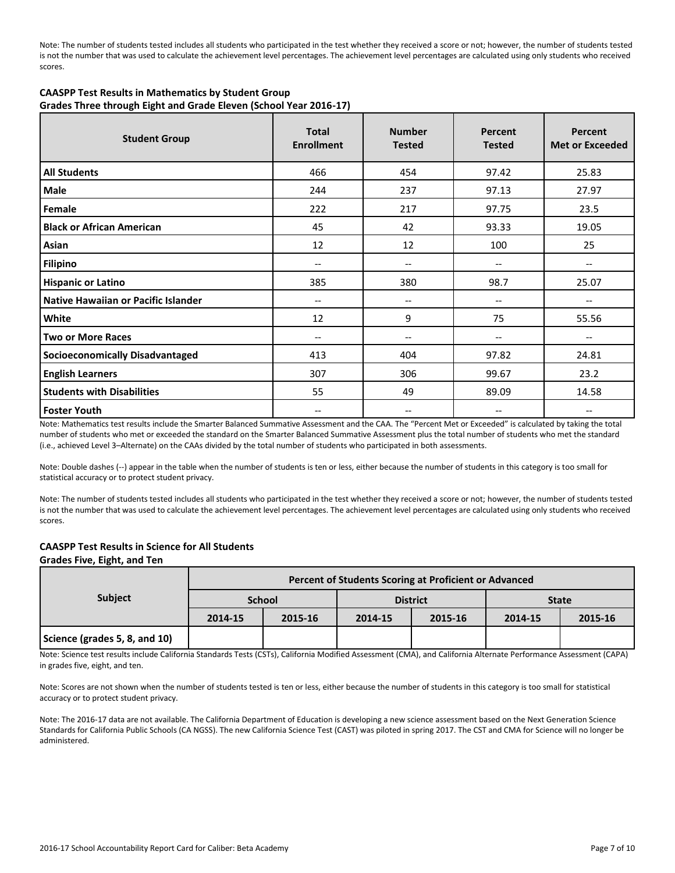Note: The number of students tested includes all students who participated in the test whether they received a score or not; however, the number of students tested is not the number that was used to calculate the achievement level percentages. The achievement level percentages are calculated using only students who received scores.

#### **CAASPP Test Results in Mathematics by Student Group Grades Three through Eight and Grade Eleven (School Year 2016-17)**

| <b>Student Group</b>                   | <b>Total</b><br><b>Enrollment</b> | <b>Number</b><br><b>Tested</b>        | Percent<br><b>Tested</b> | Percent<br><b>Met or Exceeded</b> |
|----------------------------------------|-----------------------------------|---------------------------------------|--------------------------|-----------------------------------|
| <b>All Students</b>                    | 466                               | 454                                   | 97.42                    | 25.83                             |
| <b>Male</b>                            | 244                               | 237                                   | 97.13                    | 27.97                             |
| Female                                 | 222                               | 217                                   | 97.75                    | 23.5                              |
| <b>Black or African American</b>       | 45                                | 42                                    | 93.33                    | 19.05                             |
| Asian                                  | 12                                | 12                                    | 100                      | 25                                |
| <b>Filipino</b>                        | $-$                               | $\overline{\phantom{a}}$              | --                       | --                                |
| <b>Hispanic or Latino</b>              | 385                               | 380                                   | 98.7                     | 25.07                             |
| Native Hawaiian or Pacific Islander    | --                                | $\hspace{0.05cm}$ – $\hspace{0.05cm}$ | --                       | --                                |
| White                                  | 12                                | 9                                     | 75                       | 55.56                             |
| <b>Two or More Races</b>               | --                                | $\hspace{0.05cm}$ – $\hspace{0.05cm}$ | $\overline{\phantom{m}}$ | --                                |
| <b>Socioeconomically Disadvantaged</b> | 413                               | 404                                   | 97.82                    | 24.81                             |
| <b>English Learners</b>                | 307                               | 306                                   | 99.67                    | 23.2                              |
| <b>Students with Disabilities</b>      | 55                                | 49                                    | 89.09                    | 14.58                             |
| <b>Foster Youth</b>                    | --                                | --                                    |                          |                                   |

Note: Mathematics test results include the Smarter Balanced Summative Assessment and the CAA. The "Percent Met or Exceeded" is calculated by taking the total number of students who met or exceeded the standard on the Smarter Balanced Summative Assessment plus the total number of students who met the standard (i.e., achieved Level 3–Alternate) on the CAAs divided by the total number of students who participated in both assessments.

Note: Double dashes (--) appear in the table when the number of students is ten or less, either because the number of students in this category is too small for statistical accuracy or to protect student privacy.

Note: The number of students tested includes all students who participated in the test whether they received a score or not; however, the number of students tested is not the number that was used to calculate the achievement level percentages. The achievement level percentages are calculated using only students who received scores.

#### **CAASPP Test Results in Science for All Students**

#### **Grades Five, Eight, and Ten**

|                               | Percent of Students Scoring at Proficient or Advanced |               |         |                 |              |         |  |  |  |
|-------------------------------|-------------------------------------------------------|---------------|---------|-----------------|--------------|---------|--|--|--|
| <b>Subject</b>                |                                                       | <b>School</b> |         | <b>District</b> | <b>State</b> |         |  |  |  |
|                               | 2014-15                                               | 2015-16       | 2014-15 | 2015-16         | 2014-15      | 2015-16 |  |  |  |
| Science (grades 5, 8, and 10) |                                                       |               |         |                 |              |         |  |  |  |

Note: Science test results include California Standards Tests (CSTs), California Modified Assessment (CMA), and California Alternate Performance Assessment (CAPA) in grades five, eight, and ten.

Note: Scores are not shown when the number of students tested is ten or less, either because the number of students in this category is too small for statistical accuracy or to protect student privacy.

Note: The 2016-17 data are not available. The California Department of Education is developing a new science assessment based on the Next Generation Science Standards for California Public Schools (CA NGSS). The new California Science Test (CAST) was piloted in spring 2017. The CST and CMA for Science will no longer be administered.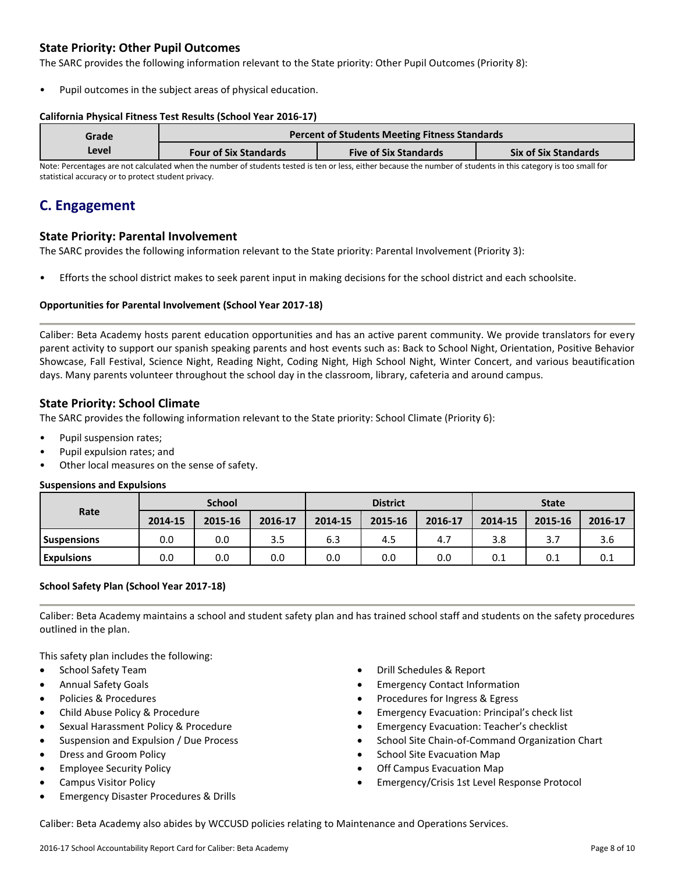### **State Priority: Other Pupil Outcomes**

The SARC provides the following information relevant to the State priority: Other Pupil Outcomes (Priority 8):

Pupil outcomes in the subject areas of physical education.

#### **California Physical Fitness Test Results (School Year 2016-17)**

| Grade<br>Level | <b>Percent of Students Meeting Fitness Standards</b> |                              |                             |  |  |  |
|----------------|------------------------------------------------------|------------------------------|-----------------------------|--|--|--|
|                | <b>Four of Six Standards</b>                         | <b>Five of Six Standards</b> | <b>Six of Six Standards</b> |  |  |  |

Note: Percentages are not calculated when the number of students tested is ten or less, either because the number of students in this category is too small for statistical accuracy or to protect student privacy.

### **C. Engagement**

#### **State Priority: Parental Involvement**

The SARC provides the following information relevant to the State priority: Parental Involvement (Priority 3):

• Efforts the school district makes to seek parent input in making decisions for the school district and each schoolsite.

#### **Opportunities for Parental Involvement (School Year 2017-18)**

Caliber: Beta Academy hosts parent education opportunities and has an active parent community. We provide translators for every parent activity to support our spanish speaking parents and host events such as: Back to School Night, Orientation, Positive Behavior Showcase, Fall Festival, Science Night, Reading Night, Coding Night, High School Night, Winter Concert, and various beautification days. Many parents volunteer throughout the school day in the classroom, library, cafeteria and around campus.

#### **State Priority: School Climate**

The SARC provides the following information relevant to the State priority: School Climate (Priority 6):

- Pupil suspension rates;
- Pupil expulsion rates; and
- Other local measures on the sense of safety.

#### **Suspensions and Expulsions**

|                    | <b>School</b> |         |         | <b>District</b> |         |         | <b>State</b> |         |         |
|--------------------|---------------|---------|---------|-----------------|---------|---------|--------------|---------|---------|
| Rate               | 2014-15       | 2015-16 | 2016-17 | 2014-15         | 2015-16 | 2016-17 | 2014-15      | 2015-16 | 2016-17 |
| <b>Suspensions</b> | 0.0           | 0.0     | 3.5     | 6.3             | 4.5     | 4.7     | 3.8          | 3.7     | 3.6     |
| <b>Expulsions</b>  | 0.0           | 0.0     | 0.0     | 0.0             | 0.0     | 0.0     | 0.1          | 0.1     | 0.1     |

#### **School Safety Plan (School Year 2017-18)**

Caliber: Beta Academy maintains a school and student safety plan and has trained school staff and students on the safety procedures outlined in the plan.

This safety plan includes the following:

- School Safety Team
- Annual Safety Goals
- Policies & Procedures
- Child Abuse Policy & Procedure
- Sexual Harassment Policy & Procedure
- Suspension and Expulsion / Due Process
- Dress and Groom Policy
- Employee Security Policy
- Campus Visitor Policy
- Emergency Disaster Procedures & Drills
- Drill Schedules & Report
- Emergency Contact Information
- Procedures for Ingress & Egress
- Emergency Evacuation: Principal's check list
- Emergency Evacuation: Teacher's checklist
- School Site Chain-of-Command Organization Chart
- School Site Evacuation Map
- Off Campus Evacuation Map
- Emergency/Crisis 1st Level Response Protocol

Caliber: Beta Academy also abides by WCCUSD policies relating to Maintenance and Operations Services.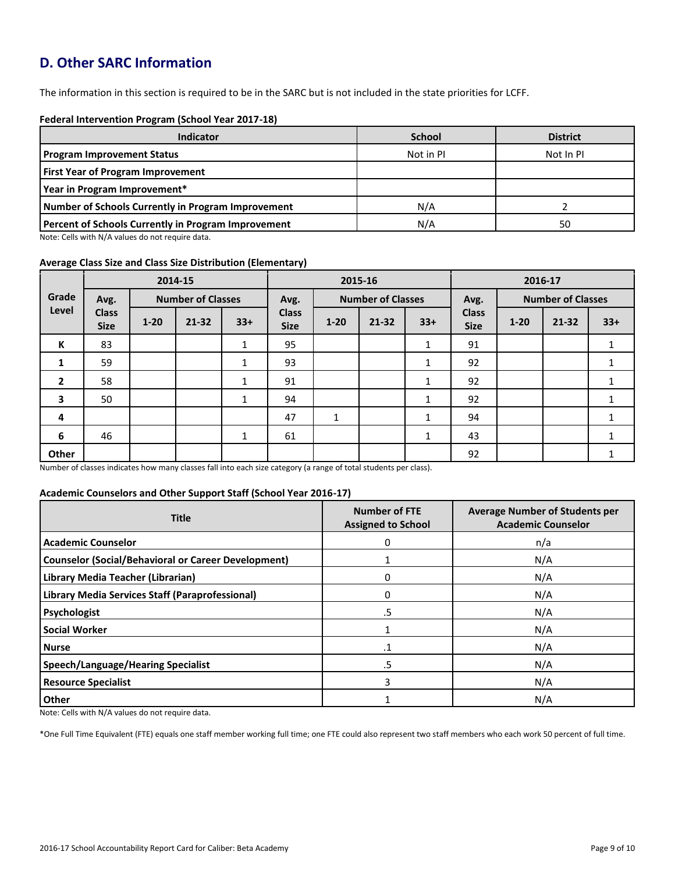# **D. Other SARC Information**

The information in this section is required to be in the SARC but is not included in the state priorities for LCFF.

#### **Federal Intervention Program (School Year 2017-18)**

| <b>Indicator</b>                                           | <b>School</b> | <b>District</b> |
|------------------------------------------------------------|---------------|-----------------|
| <b>Program Improvement Status</b>                          | Not in PI     | Not In PI       |
| <b>First Year of Program Improvement</b>                   |               |                 |
| Year in Program Improvement*                               |               |                 |
| Number of Schools Currently in Program Improvement         | N/A           |                 |
| <b>Percent of Schools Currently in Program Improvement</b> | N/A           | 50              |

Note: Cells with N/A values do not require data.

#### **Average Class Size and Class Size Distribution (Elementary)**

|                |                             |          | 2014-15                  |              | 2015-16                     |                          |           | 2016-17 |                             |                          |           |       |
|----------------|-----------------------------|----------|--------------------------|--------------|-----------------------------|--------------------------|-----------|---------|-----------------------------|--------------------------|-----------|-------|
| Grade          | Avg.                        |          | <b>Number of Classes</b> |              | Avg.                        | <b>Number of Classes</b> |           |         | Avg.                        | <b>Number of Classes</b> |           |       |
| Level          | <b>Class</b><br><b>Size</b> | $1 - 20$ | 21-32                    | $33+$        | <b>Class</b><br><b>Size</b> | $1 - 20$                 | $21 - 32$ | $33+$   | <b>Class</b><br><b>Size</b> | $1 - 20$                 | $21 - 32$ | $33+$ |
| К              | 83                          |          |                          | 1            | 95                          |                          |           | 1<br>Ŧ. | 91                          |                          |           | Ŧ.    |
| 1              | 59                          |          |                          | 1            | 93                          |                          |           |         | 92                          |                          |           |       |
| $\overline{2}$ | 58                          |          |                          | 1            | 91                          |                          |           | 1       | 92                          |                          |           | 1     |
| 3              | 50                          |          |                          | $\mathbf{1}$ | 94                          |                          |           | 1       | 92                          |                          |           |       |
| 4              |                             |          |                          |              | 47                          | $\mathbf{1}$             |           | 1       | 94                          |                          |           |       |
| 6              | 46                          |          |                          | $\mathbf{1}$ | 61                          |                          |           | 1       | 43                          |                          |           |       |
| Other          |                             |          |                          |              |                             |                          |           |         | 92                          |                          |           |       |

Number of classes indicates how many classes fall into each size category (a range of total students per class).

#### **Academic Counselors and Other Support Staff (School Year 2016-17)**

| <b>Title</b>                                               | <b>Number of FTE</b><br><b>Assigned to School</b> | <b>Average Number of Students per</b><br><b>Academic Counselor</b> |  |
|------------------------------------------------------------|---------------------------------------------------|--------------------------------------------------------------------|--|
| <b>Academic Counselor</b>                                  | 0                                                 | n/a                                                                |  |
| <b>Counselor (Social/Behavioral or Career Development)</b> |                                                   | N/A                                                                |  |
| Library Media Teacher (Librarian)                          | 0                                                 | N/A                                                                |  |
| Library Media Services Staff (Paraprofessional)            | 0                                                 | N/A                                                                |  |
| Psychologist                                               | .5                                                | N/A                                                                |  |
| <b>Social Worker</b>                                       |                                                   | N/A                                                                |  |
| <b>Nurse</b>                                               | $\cdot$ 1                                         | N/A                                                                |  |
| <b>Speech/Language/Hearing Specialist</b>                  | .5                                                | N/A                                                                |  |
| <b>Resource Specialist</b>                                 | 3                                                 | N/A                                                                |  |
| Other                                                      |                                                   | N/A                                                                |  |

Note: Cells with N/A values do not require data.

\*One Full Time Equivalent (FTE) equals one staff member working full time; one FTE could also represent two staff members who each work 50 percent of full time.